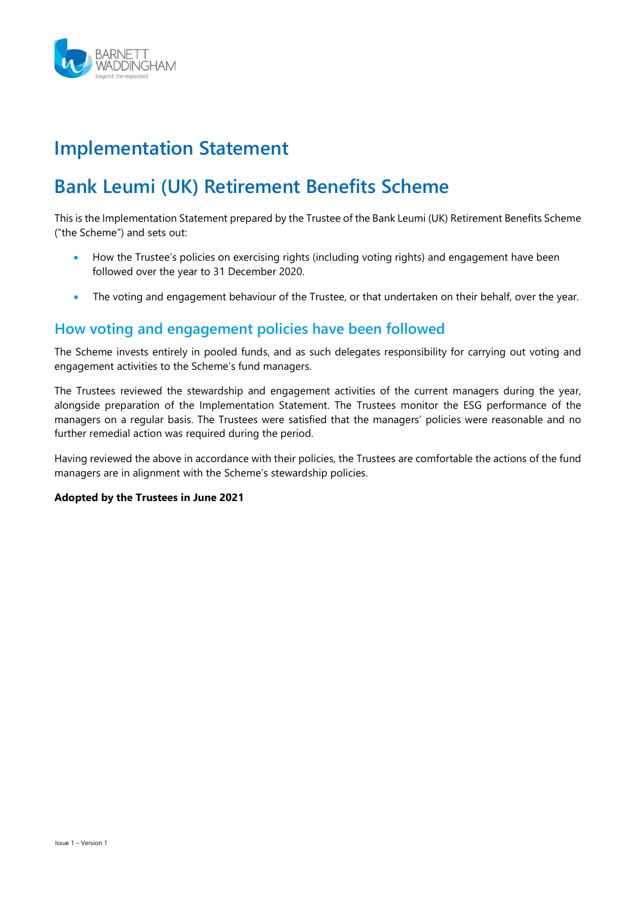

# Implementation Statement

# Bank Leumi (UK) Retirement Benefits Scheme

This is the Implementation Statement prepared by the Trustee of the Bank Leumi (UK) Retirement Benefits Scheme ("the Scheme") and sets out:

- How the Trustee's policies on exercising rights (including voting rights) and engagement have been followed over the year to 31 December 2020.
- The voting and engagement behaviour of the Trustee, or that undertaken on their behalf, over the year.

# How voting and engagement policies have been followed

The Scheme invests entirely in pooled funds, and as such delegates responsibility for carrying out voting and engagement activities to the Scheme's fund managers.

The Trustees reviewed the stewardship and engagement activities of the current managers during the year, alongside preparation of the Implementation Statement. The Trustees monitor the ESG performance of the managers on a regular basis. The Trustees were satisfied that the managers' policies were reasonable and no further remedial action was required during the period.

Having reviewed the above in accordance with their policies, the Trustees are comfortable the actions of the fund managers are in alignment with the Scheme's stewardship policies.

#### Adopted by the Trustees in June 2021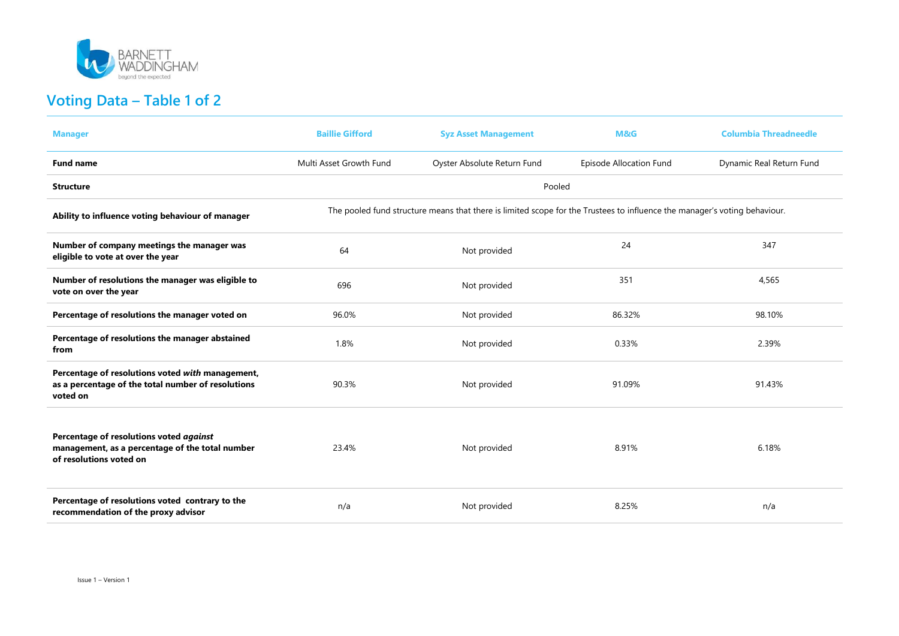

# Voting Data – Table 1 of 2

| <b>Manager</b>                                                                                                        | <b>Baillie Gifford</b>  | <b>Syz Asset Management</b>                                                                                               | M&G                     | <b>Columbia Threadneedle</b> |
|-----------------------------------------------------------------------------------------------------------------------|-------------------------|---------------------------------------------------------------------------------------------------------------------------|-------------------------|------------------------------|
| <b>Fund name</b>                                                                                                      | Multi Asset Growth Fund | Oyster Absolute Return Fund                                                                                               | Episode Allocation Fund | Dynamic Real Return Fund     |
| <b>Structure</b>                                                                                                      |                         | Pooled                                                                                                                    |                         |                              |
| Ability to influence voting behaviour of manager                                                                      |                         | The pooled fund structure means that there is limited scope for the Trustees to influence the manager's voting behaviour. |                         |                              |
| Number of company meetings the manager was<br>eligible to vote at over the year                                       | 64                      | Not provided                                                                                                              | 24                      | 347                          |
| Number of resolutions the manager was eligible to<br>vote on over the year                                            | 696                     | Not provided                                                                                                              | 351                     | 4,565                        |
| Percentage of resolutions the manager voted on                                                                        | 96.0%                   | Not provided                                                                                                              | 86.32%                  | 98.10%                       |
| Percentage of resolutions the manager abstained<br>from                                                               | 1.8%                    | Not provided                                                                                                              | 0.33%                   | 2.39%                        |
| Percentage of resolutions voted with management,<br>as a percentage of the total number of resolutions<br>voted on    | 90.3%                   | Not provided                                                                                                              | 91.09%                  | 91.43%                       |
| Percentage of resolutions voted against<br>management, as a percentage of the total number<br>of resolutions voted on | 23.4%                   | Not provided                                                                                                              | 8.91%                   | 6.18%                        |
| Percentage of resolutions voted contrary to the<br>recommendation of the proxy advisor                                | n/a                     | Not provided                                                                                                              | 8.25%                   | n/a                          |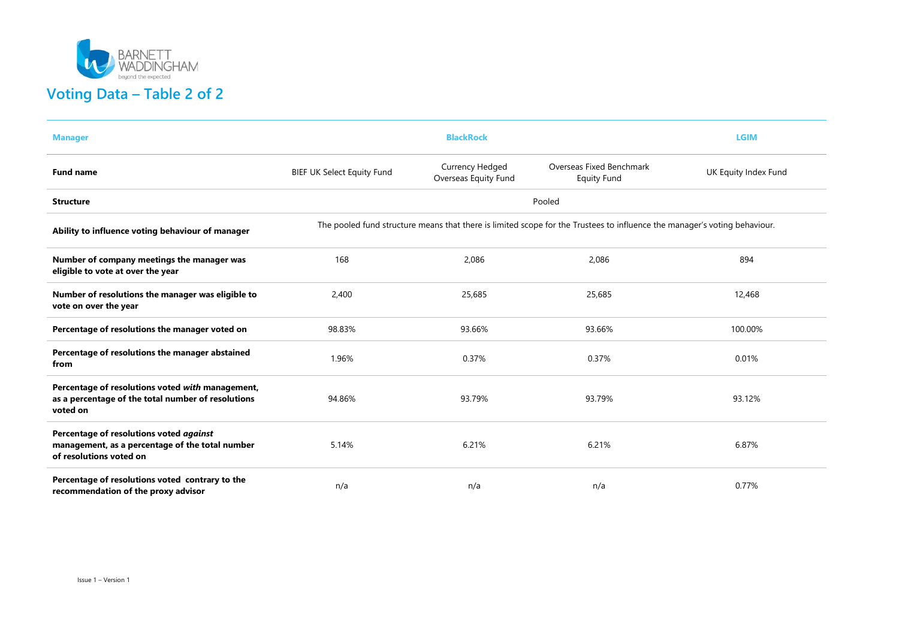

| <b>Manager</b>                                                                                                        |                                                                                                                           | <b>LGIM</b>                                    |                                                |                      |  |  |
|-----------------------------------------------------------------------------------------------------------------------|---------------------------------------------------------------------------------------------------------------------------|------------------------------------------------|------------------------------------------------|----------------------|--|--|
| <b>Fund name</b>                                                                                                      | <b>BIEF UK Select Equity Fund</b>                                                                                         | <b>Currency Hedged</b><br>Overseas Equity Fund | Overseas Fixed Benchmark<br><b>Equity Fund</b> | UK Equity Index Fund |  |  |
| <b>Structure</b>                                                                                                      |                                                                                                                           |                                                | Pooled                                         |                      |  |  |
| Ability to influence voting behaviour of manager                                                                      | The pooled fund structure means that there is limited scope for the Trustees to influence the manager's voting behaviour. |                                                |                                                |                      |  |  |
| Number of company meetings the manager was<br>eligible to vote at over the year                                       | 168                                                                                                                       | 2,086                                          | 2,086                                          | 894                  |  |  |
| Number of resolutions the manager was eligible to<br>vote on over the year                                            | 2,400                                                                                                                     | 25,685                                         | 25,685                                         | 12,468               |  |  |
| Percentage of resolutions the manager voted on                                                                        | 98.83%                                                                                                                    | 93.66%                                         | 93.66%                                         | 100.00%              |  |  |
| Percentage of resolutions the manager abstained<br>from                                                               | 1.96%                                                                                                                     | 0.37%                                          | 0.37%                                          | 0.01%                |  |  |
| Percentage of resolutions voted with management,<br>as a percentage of the total number of resolutions<br>voted on    | 94.86%                                                                                                                    | 93.79%                                         | 93.79%                                         | 93.12%               |  |  |
| Percentage of resolutions voted against<br>management, as a percentage of the total number<br>of resolutions voted on | 5.14%                                                                                                                     | 6.21%                                          | 6.21%                                          | 6.87%                |  |  |
| Percentage of resolutions voted contrary to the<br>recommendation of the proxy advisor                                | n/a                                                                                                                       | n/a                                            | n/a                                            | 0.77%                |  |  |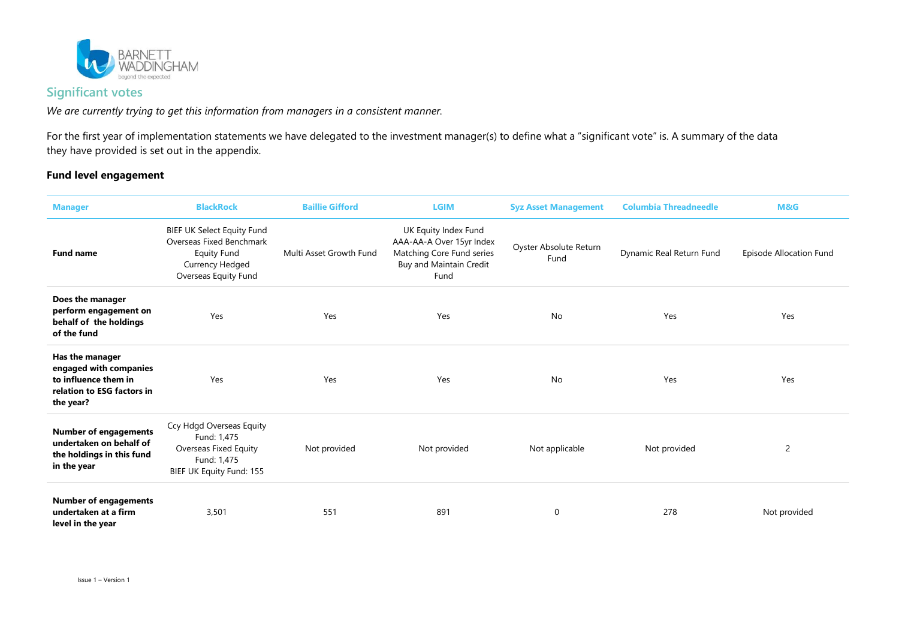

### Significant votes

We are currently trying to get this information from managers in a consistent manner.

For the first year of implementation statements we have delegated to the investment manager(s) to define what a "significant vote" is. A summary of the data they have provided is set out in the appendix.

#### Fund level engagement

| <b>Manager</b>                                                                                               | <b>BlackRock</b>                                                                                                               | <b>Baillie Gifford</b>  | <b>LGIM</b>                                                                                                      | <b>Syz Asset Management</b>    | <b>Columbia Threadneedle</b> | M&G                     |
|--------------------------------------------------------------------------------------------------------------|--------------------------------------------------------------------------------------------------------------------------------|-------------------------|------------------------------------------------------------------------------------------------------------------|--------------------------------|------------------------------|-------------------------|
| <b>Fund name</b>                                                                                             | <b>BIEF UK Select Equity Fund</b><br>Overseas Fixed Benchmark<br><b>Equity Fund</b><br>Currency Hedged<br>Overseas Equity Fund | Multi Asset Growth Fund | UK Equity Index Fund<br>AAA-AA-A Over 15yr Index<br>Matching Core Fund series<br>Buy and Maintain Credit<br>Fund | Oyster Absolute Return<br>Fund | Dynamic Real Return Fund     | Episode Allocation Fund |
| Does the manager<br>perform engagement on<br>behalf of the holdings<br>of the fund                           | Yes                                                                                                                            | Yes                     | Yes                                                                                                              | <b>No</b>                      | Yes                          | Yes                     |
| Has the manager<br>engaged with companies<br>to influence them in<br>relation to ESG factors in<br>the year? | Yes                                                                                                                            | Yes                     | Yes                                                                                                              | <b>No</b>                      | Yes                          | Yes                     |
| <b>Number of engagements</b><br>undertaken on behalf of<br>the holdings in this fund<br>in the year          | Ccy Hdgd Overseas Equity<br>Fund: 1,475<br>Overseas Fixed Equity<br>Fund: 1,475<br>BIEF UK Equity Fund: 155                    | Not provided            | Not provided                                                                                                     | Not applicable                 | Not provided                 | 2                       |
| <b>Number of engagements</b><br>undertaken at a firm<br>level in the year                                    | 3,501                                                                                                                          | 551                     | 891                                                                                                              | $\mathbf 0$                    | 278                          | Not provided            |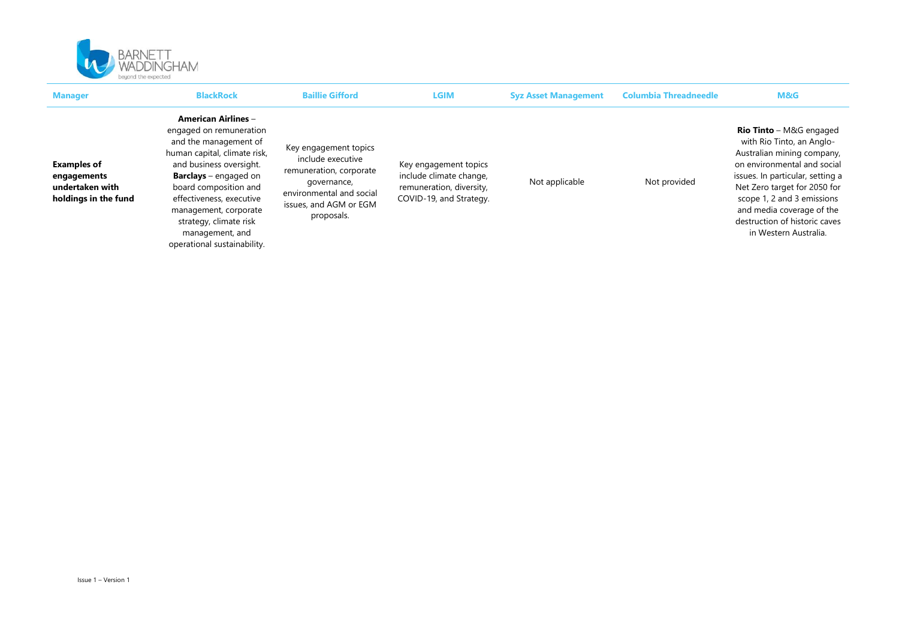

| <b>Manager</b>                                                               | <b>BlackRock</b>                                                                                                                                                                                                                                                                                                                    | <b>Baillie Gifford</b>                                                                                                                                   | LGIM                                                                                                    | <b>Syz Asset Management</b> | <b>Columbia Threadneedle</b> | M&G                                                                                                                                                                                                                                                                                                               |
|------------------------------------------------------------------------------|-------------------------------------------------------------------------------------------------------------------------------------------------------------------------------------------------------------------------------------------------------------------------------------------------------------------------------------|----------------------------------------------------------------------------------------------------------------------------------------------------------|---------------------------------------------------------------------------------------------------------|-----------------------------|------------------------------|-------------------------------------------------------------------------------------------------------------------------------------------------------------------------------------------------------------------------------------------------------------------------------------------------------------------|
| <b>Examples of</b><br>engagements<br>undertaken with<br>holdings in the fund | <b>American Airlines -</b><br>engaged on remuneration<br>and the management of<br>human capital, climate risk,<br>and business oversight.<br><b>Barclays</b> – engaged on<br>board composition and<br>effectiveness, executive<br>management, corporate<br>strategy, climate risk<br>management, and<br>operational sustainability. | Key engagement topics<br>include executive<br>remuneration, corporate<br>governance,<br>environmental and social<br>issues, and AGM or EGM<br>proposals. | Key engagement topics<br>include climate change,<br>remuneration, diversity,<br>COVID-19, and Strategy. | Not applicable              | Not provided                 | <b>Rio Tinto</b> – M&G engaged<br>with Rio Tinto, an Anglo-<br>Australian mining company,<br>on environmental and social<br>issues. In particular, setting a<br>Net Zero target for 2050 for<br>scope 1, 2 and 3 emissions<br>and media coverage of the<br>destruction of historic caves<br>in Western Australia. |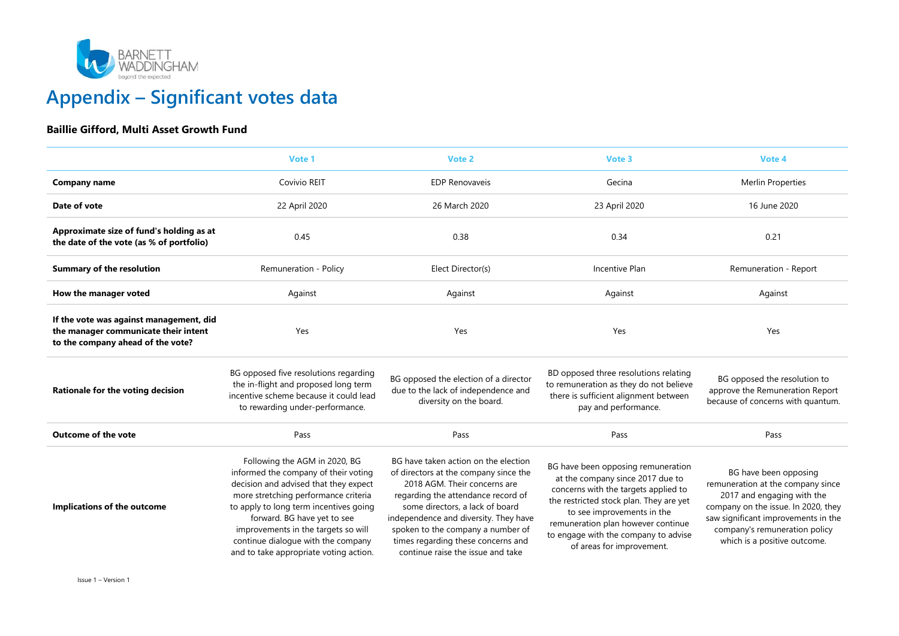

# Appendix – Significant votes data

#### Baillie Gifford, Multi Asset Growth Fund

|                                                                                                                      | Vote 1                                                                                                                                                                                                                                                                                                                                                 | Vote 2                                                                                                                                                                                                                                                                                                                                          | Vote 3                                                                                                                                                                                                                                                                                             | Vote 4                                                                                                                                                                                                                                  |
|----------------------------------------------------------------------------------------------------------------------|--------------------------------------------------------------------------------------------------------------------------------------------------------------------------------------------------------------------------------------------------------------------------------------------------------------------------------------------------------|-------------------------------------------------------------------------------------------------------------------------------------------------------------------------------------------------------------------------------------------------------------------------------------------------------------------------------------------------|----------------------------------------------------------------------------------------------------------------------------------------------------------------------------------------------------------------------------------------------------------------------------------------------------|-----------------------------------------------------------------------------------------------------------------------------------------------------------------------------------------------------------------------------------------|
| <b>Company name</b>                                                                                                  | Covivio REIT                                                                                                                                                                                                                                                                                                                                           | <b>EDP Renovaveis</b>                                                                                                                                                                                                                                                                                                                           | Gecina                                                                                                                                                                                                                                                                                             | <b>Merlin Properties</b>                                                                                                                                                                                                                |
| Date of vote                                                                                                         | 22 April 2020                                                                                                                                                                                                                                                                                                                                          | 26 March 2020                                                                                                                                                                                                                                                                                                                                   | 23 April 2020                                                                                                                                                                                                                                                                                      | 16 June 2020                                                                                                                                                                                                                            |
| Approximate size of fund's holding as at<br>the date of the vote (as % of portfolio)                                 | 0.45                                                                                                                                                                                                                                                                                                                                                   | 0.38                                                                                                                                                                                                                                                                                                                                            | 0.34                                                                                                                                                                                                                                                                                               | 0.21                                                                                                                                                                                                                                    |
| <b>Summary of the resolution</b>                                                                                     | Remuneration - Policy                                                                                                                                                                                                                                                                                                                                  | Elect Director(s)                                                                                                                                                                                                                                                                                                                               | Incentive Plan                                                                                                                                                                                                                                                                                     | Remuneration - Report                                                                                                                                                                                                                   |
| How the manager voted                                                                                                | Against                                                                                                                                                                                                                                                                                                                                                | Against                                                                                                                                                                                                                                                                                                                                         | Against                                                                                                                                                                                                                                                                                            | Against                                                                                                                                                                                                                                 |
| If the vote was against management, did<br>the manager communicate their intent<br>to the company ahead of the vote? | Yes                                                                                                                                                                                                                                                                                                                                                    | Yes                                                                                                                                                                                                                                                                                                                                             | Yes                                                                                                                                                                                                                                                                                                | Yes                                                                                                                                                                                                                                     |
| Rationale for the voting decision                                                                                    | BG opposed five resolutions regarding<br>the in-flight and proposed long term<br>incentive scheme because it could lead<br>to rewarding under-performance.                                                                                                                                                                                             | BG opposed the election of a director<br>due to the lack of independence and<br>diversity on the board.                                                                                                                                                                                                                                         | BD opposed three resolutions relating<br>to remuneration as they do not believe<br>there is sufficient alignment between<br>pay and performance.                                                                                                                                                   | BG opposed the resolution to<br>approve the Remuneration Report<br>because of concerns with quantum.                                                                                                                                    |
| <b>Outcome of the vote</b>                                                                                           | Pass                                                                                                                                                                                                                                                                                                                                                   | Pass                                                                                                                                                                                                                                                                                                                                            | Pass                                                                                                                                                                                                                                                                                               | Pass                                                                                                                                                                                                                                    |
| Implications of the outcome                                                                                          | Following the AGM in 2020, BG<br>informed the company of their voting<br>decision and advised that they expect<br>more stretching performance criteria<br>to apply to long term incentives going<br>forward. BG have yet to see<br>improvements in the targets so will<br>continue dialogue with the company<br>and to take appropriate voting action. | BG have taken action on the election<br>of directors at the company since the<br>2018 AGM. Their concerns are<br>regarding the attendance record of<br>some directors, a lack of board<br>independence and diversity. They have<br>spoken to the company a number of<br>times regarding these concerns and<br>continue raise the issue and take | BG have been opposing remuneration<br>at the company since 2017 due to<br>concerns with the targets applied to<br>the restricted stock plan. They are yet<br>to see improvements in the<br>remuneration plan however continue<br>to engage with the company to advise<br>of areas for improvement. | BG have been opposing<br>remuneration at the company since<br>2017 and engaging with the<br>company on the issue. In 2020, they<br>saw significant improvements in the<br>company's remuneration policy<br>which is a positive outcome. |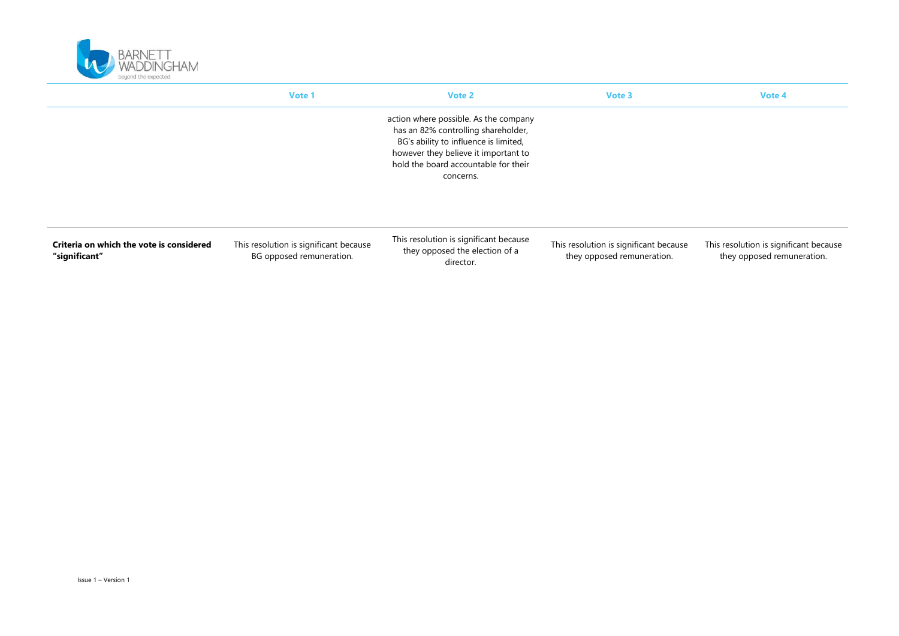

|                                                           | Vote 1                                                             | Vote 2                                                                                                                                                                                                             | Vote 3                                                               | Vote 4                                                               |
|-----------------------------------------------------------|--------------------------------------------------------------------|--------------------------------------------------------------------------------------------------------------------------------------------------------------------------------------------------------------------|----------------------------------------------------------------------|----------------------------------------------------------------------|
|                                                           |                                                                    | action where possible. As the company<br>has an 82% controlling shareholder,<br>BG's ability to influence is limited,<br>however they believe it important to<br>hold the board accountable for their<br>concerns. |                                                                      |                                                                      |
| Criteria on which the vote is considered<br>"significant" | This resolution is significant because<br>BG opposed remuneration. | This resolution is significant because<br>they opposed the election of a<br>director.                                                                                                                              | This resolution is significant because<br>they opposed remuneration. | This resolution is significant because<br>they opposed remuneration. |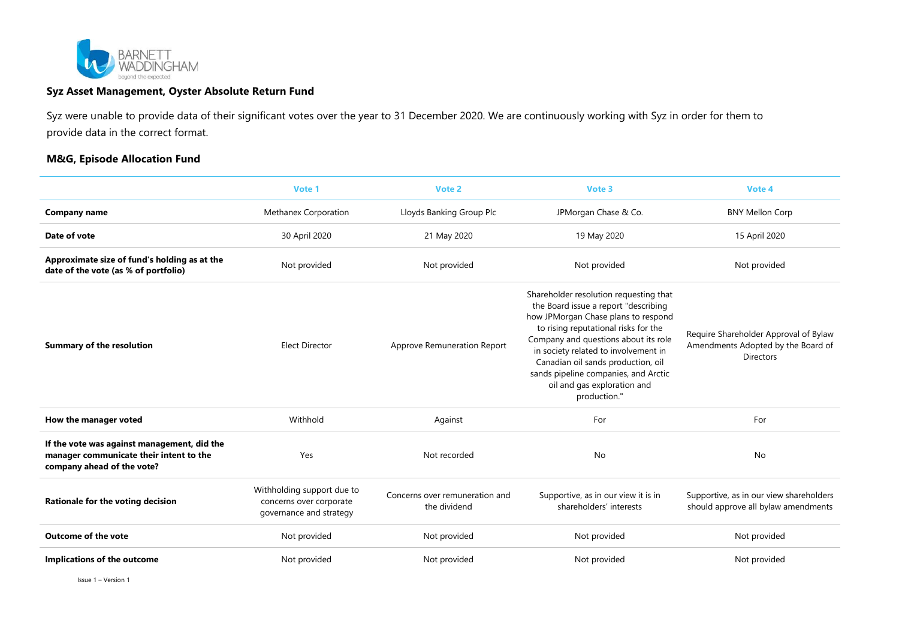

#### Syz Asset Management, Oyster Absolute Return Fund

Syz were unable to provide data of their significant votes over the year to 31 December 2020. We are continuously working with Syz in order for them to provide data in the correct format.

#### M&G, Episode Allocation Fund

|                                                                                                                      | Vote 1                                                                           | Vote 2                                         | Vote 3                                                                                                                                                                                                                                                                                                                                                                     | Vote 4                                                                                          |
|----------------------------------------------------------------------------------------------------------------------|----------------------------------------------------------------------------------|------------------------------------------------|----------------------------------------------------------------------------------------------------------------------------------------------------------------------------------------------------------------------------------------------------------------------------------------------------------------------------------------------------------------------------|-------------------------------------------------------------------------------------------------|
| <b>Company name</b>                                                                                                  | Methanex Corporation                                                             | Lloyds Banking Group Plc                       | JPMorgan Chase & Co.                                                                                                                                                                                                                                                                                                                                                       | <b>BNY Mellon Corp</b>                                                                          |
| Date of vote                                                                                                         | 30 April 2020                                                                    | 21 May 2020                                    | 19 May 2020                                                                                                                                                                                                                                                                                                                                                                | 15 April 2020                                                                                   |
| Approximate size of fund's holding as at the<br>date of the vote (as % of portfolio)                                 | Not provided                                                                     | Not provided                                   | Not provided                                                                                                                                                                                                                                                                                                                                                               | Not provided                                                                                    |
| <b>Summary of the resolution</b>                                                                                     | <b>Elect Director</b>                                                            | Approve Remuneration Report                    | Shareholder resolution requesting that<br>the Board issue a report "describing<br>how JPMorgan Chase plans to respond<br>to rising reputational risks for the<br>Company and questions about its role<br>in society related to involvement in<br>Canadian oil sands production, oil<br>sands pipeline companies, and Arctic<br>oil and gas exploration and<br>production." | Require Shareholder Approval of Bylaw<br>Amendments Adopted by the Board of<br><b>Directors</b> |
| How the manager voted                                                                                                | Withhold                                                                         | Against                                        | For                                                                                                                                                                                                                                                                                                                                                                        | For                                                                                             |
| If the vote was against management, did the<br>manager communicate their intent to the<br>company ahead of the vote? | Yes                                                                              | Not recorded                                   | No                                                                                                                                                                                                                                                                                                                                                                         | No                                                                                              |
| Rationale for the voting decision                                                                                    | Withholding support due to<br>concerns over corporate<br>governance and strategy | Concerns over remuneration and<br>the dividend | Supportive, as in our view it is in<br>shareholders' interests                                                                                                                                                                                                                                                                                                             | Supportive, as in our view shareholders<br>should approve all bylaw amendments                  |
| <b>Outcome of the vote</b>                                                                                           | Not provided                                                                     | Not provided                                   | Not provided                                                                                                                                                                                                                                                                                                                                                               | Not provided                                                                                    |
| Implications of the outcome                                                                                          | Not provided                                                                     | Not provided                                   | Not provided                                                                                                                                                                                                                                                                                                                                                               | Not provided                                                                                    |

Issue 1 – Version 1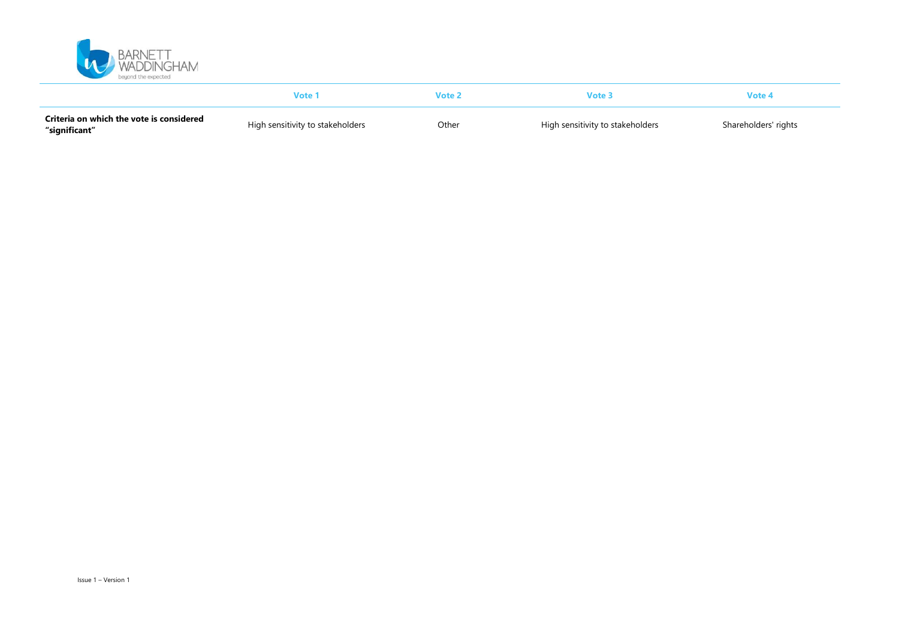

|                                                           | Vote 1                           |       | /ote                             | Vote 4               |
|-----------------------------------------------------------|----------------------------------|-------|----------------------------------|----------------------|
| Criteria on which the vote is considered<br>"significant" | High sensitivity to stakeholders | Other | High sensitivity to stakeholders | Shareholders' rights |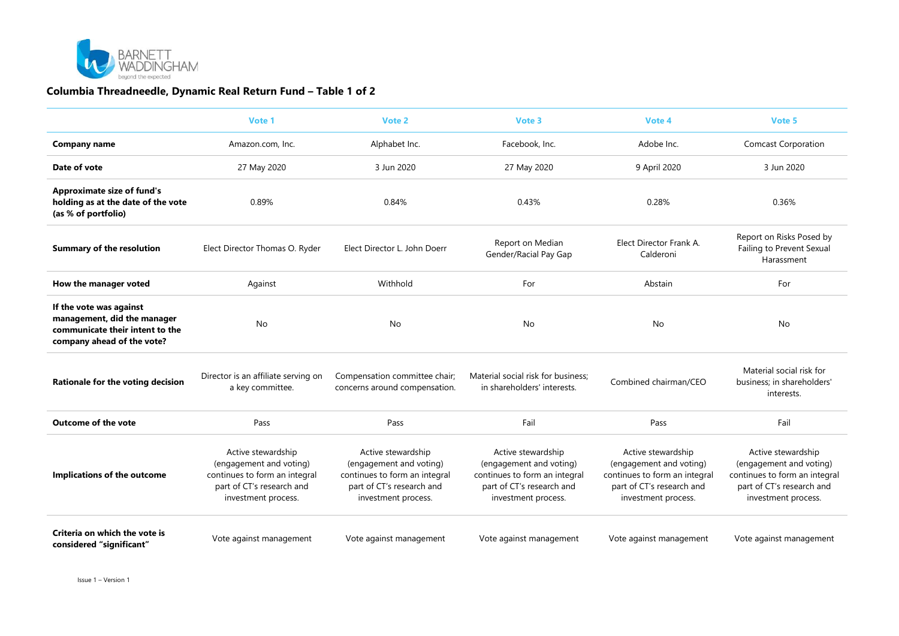

#### Columbia Threadneedle, Dynamic Real Return Fund – Table 1 of 2

|                                                                                                                         | Vote 1                                                                                                                             | Vote 2                                                                                                                             | Vote 3                                                                                                                             | Vote 4                                                                                                                             | Vote 5                                                                                                                             |
|-------------------------------------------------------------------------------------------------------------------------|------------------------------------------------------------------------------------------------------------------------------------|------------------------------------------------------------------------------------------------------------------------------------|------------------------------------------------------------------------------------------------------------------------------------|------------------------------------------------------------------------------------------------------------------------------------|------------------------------------------------------------------------------------------------------------------------------------|
| Company name                                                                                                            | Amazon.com, Inc.                                                                                                                   | Alphabet Inc.                                                                                                                      | Facebook, Inc.                                                                                                                     | Adobe Inc.                                                                                                                         | <b>Comcast Corporation</b>                                                                                                         |
| Date of vote                                                                                                            | 27 May 2020                                                                                                                        | 3 Jun 2020                                                                                                                         | 27 May 2020                                                                                                                        | 9 April 2020                                                                                                                       | 3 Jun 2020                                                                                                                         |
| <b>Approximate size of fund's</b><br>holding as at the date of the vote<br>(as % of portfolio)                          | 0.89%                                                                                                                              | 0.84%                                                                                                                              | 0.43%                                                                                                                              | 0.28%                                                                                                                              | 0.36%                                                                                                                              |
| <b>Summary of the resolution</b>                                                                                        | Elect Director Thomas O. Ryder                                                                                                     | Elect Director L. John Doerr                                                                                                       | Report on Median<br>Gender/Racial Pay Gap                                                                                          | Elect Director Frank A.<br>Calderoni                                                                                               | Report on Risks Posed by<br>Failing to Prevent Sexual<br>Harassment                                                                |
| How the manager voted                                                                                                   | Against                                                                                                                            | Withhold                                                                                                                           | For                                                                                                                                | Abstain                                                                                                                            | For                                                                                                                                |
| If the vote was against<br>management, did the manager<br>communicate their intent to the<br>company ahead of the vote? | No                                                                                                                                 | <b>No</b>                                                                                                                          | <b>No</b>                                                                                                                          | No                                                                                                                                 | No                                                                                                                                 |
| Rationale for the voting decision                                                                                       | Director is an affiliate serving on<br>a key committee.                                                                            | Compensation committee chair;<br>concerns around compensation.                                                                     | Material social risk for business;<br>in shareholders' interests.                                                                  | Combined chairman/CEO                                                                                                              | Material social risk for<br>business; in shareholders'<br>interests.                                                               |
| <b>Outcome of the vote</b>                                                                                              | Pass                                                                                                                               | Pass                                                                                                                               | Fail                                                                                                                               | Pass                                                                                                                               | Fail                                                                                                                               |
| Implications of the outcome                                                                                             | Active stewardship<br>(engagement and voting)<br>continues to form an integral<br>part of CT's research and<br>investment process. | Active stewardship<br>(engagement and voting)<br>continues to form an integral<br>part of CT's research and<br>investment process. | Active stewardship<br>(engagement and voting)<br>continues to form an integral<br>part of CT's research and<br>investment process. | Active stewardship<br>(engagement and voting)<br>continues to form an integral<br>part of CT's research and<br>investment process. | Active stewardship<br>(engagement and voting)<br>continues to form an integral<br>part of CT's research and<br>investment process. |
| Criteria on which the vote is<br>considered "significant"                                                               | Vote against management                                                                                                            | Vote against management                                                                                                            | Vote against management                                                                                                            | Vote against management                                                                                                            | Vote against management                                                                                                            |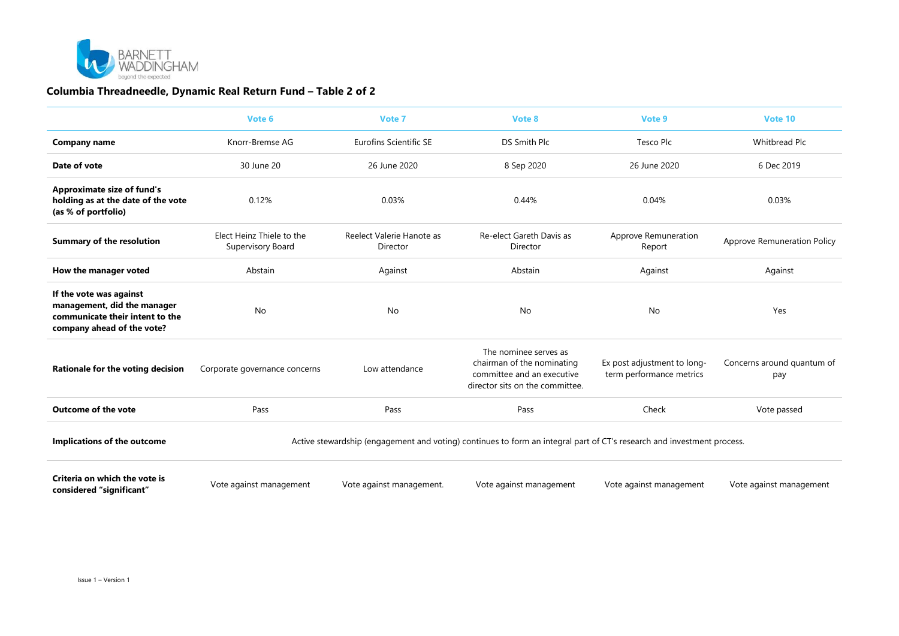

#### Columbia Threadneedle, Dynamic Real Return Fund – Table 2 of 2

|                                                                                                                         | Vote 6                                                                                                                 | Vote 7                                | Vote 8                                                                                                               | Vote 9                                                  | Vote 10                            |  |
|-------------------------------------------------------------------------------------------------------------------------|------------------------------------------------------------------------------------------------------------------------|---------------------------------------|----------------------------------------------------------------------------------------------------------------------|---------------------------------------------------------|------------------------------------|--|
| <b>Company name</b>                                                                                                     | Knorr-Bremse AG                                                                                                        | <b>Eurofins Scientific SE</b>         | DS Smith Plc                                                                                                         | Tesco Plc                                               | Whitbread Plc                      |  |
| Date of vote                                                                                                            | 30 June 20                                                                                                             | 26 June 2020                          | 8 Sep 2020                                                                                                           | 26 June 2020                                            | 6 Dec 2019                         |  |
| <b>Approximate size of fund's</b><br>holding as at the date of the vote<br>(as % of portfolio)                          | 0.12%                                                                                                                  | 0.03%                                 | 0.44%                                                                                                                | 0.04%                                                   | 0.03%                              |  |
| <b>Summary of the resolution</b>                                                                                        | Elect Heinz Thiele to the<br>Supervisory Board                                                                         | Reelect Valerie Hanote as<br>Director | Re-elect Gareth Davis as<br>Director                                                                                 | Approve Remuneration<br>Report                          | <b>Approve Remuneration Policy</b> |  |
| How the manager voted                                                                                                   | Abstain                                                                                                                | Against                               | Abstain                                                                                                              | Against                                                 | Against                            |  |
| If the vote was against<br>management, did the manager<br>communicate their intent to the<br>company ahead of the vote? | No                                                                                                                     | No                                    | No                                                                                                                   | No                                                      | Yes                                |  |
| Rationale for the voting decision                                                                                       | Corporate governance concerns                                                                                          | Low attendance                        | The nominee serves as<br>chairman of the nominating<br>committee and an executive<br>director sits on the committee. | Ex post adjustment to long-<br>term performance metrics | Concerns around quantum of<br>pay  |  |
| <b>Outcome of the vote</b>                                                                                              | Pass                                                                                                                   | Pass                                  | Pass                                                                                                                 | Check                                                   | Vote passed                        |  |
| Implications of the outcome                                                                                             | Active stewardship (engagement and voting) continues to form an integral part of CT's research and investment process. |                                       |                                                                                                                      |                                                         |                                    |  |
| Criteria on which the vote is<br>considered "significant"                                                               | Vote against management                                                                                                | Vote against management.              | Vote against management                                                                                              | Vote against management                                 | Vote against management            |  |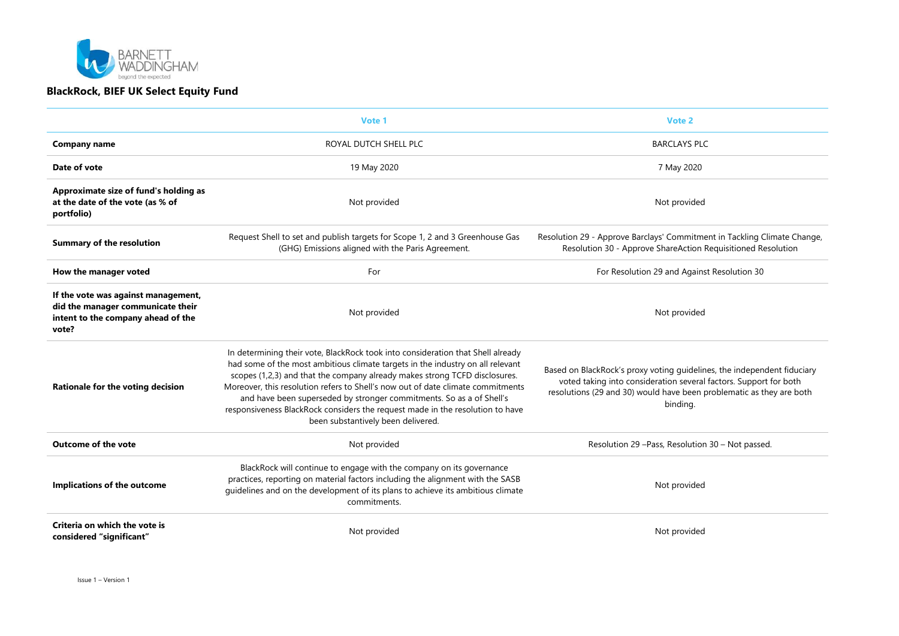

|                                                                                                                         | Vote 1                                                                                                                                                                                                                                                                                                                                                                                                                                                                                                                            | Vote 2                                                                                                                                                                                                                           |
|-------------------------------------------------------------------------------------------------------------------------|-----------------------------------------------------------------------------------------------------------------------------------------------------------------------------------------------------------------------------------------------------------------------------------------------------------------------------------------------------------------------------------------------------------------------------------------------------------------------------------------------------------------------------------|----------------------------------------------------------------------------------------------------------------------------------------------------------------------------------------------------------------------------------|
| Company name                                                                                                            | ROYAL DUTCH SHELL PLC                                                                                                                                                                                                                                                                                                                                                                                                                                                                                                             | <b>BARCLAYS PLC</b>                                                                                                                                                                                                              |
| Date of vote                                                                                                            | 19 May 2020                                                                                                                                                                                                                                                                                                                                                                                                                                                                                                                       | 7 May 2020                                                                                                                                                                                                                       |
| Approximate size of fund's holding as<br>at the date of the vote (as % of<br>portfolio)                                 | Not provided                                                                                                                                                                                                                                                                                                                                                                                                                                                                                                                      | Not provided                                                                                                                                                                                                                     |
| <b>Summary of the resolution</b>                                                                                        | Request Shell to set and publish targets for Scope 1, 2 and 3 Greenhouse Gas<br>(GHG) Emissions aligned with the Paris Agreement.                                                                                                                                                                                                                                                                                                                                                                                                 | Resolution 29 - Approve Barclays' Commitment in Tackling Climate Change,<br>Resolution 30 - Approve ShareAction Requisitioned Resolution                                                                                         |
| How the manager voted                                                                                                   | For                                                                                                                                                                                                                                                                                                                                                                                                                                                                                                                               | For Resolution 29 and Against Resolution 30                                                                                                                                                                                      |
| If the vote was against management,<br>did the manager communicate their<br>intent to the company ahead of the<br>vote? | Not provided                                                                                                                                                                                                                                                                                                                                                                                                                                                                                                                      | Not provided                                                                                                                                                                                                                     |
| Rationale for the voting decision                                                                                       | In determining their vote, BlackRock took into consideration that Shell already<br>had some of the most ambitious climate targets in the industry on all relevant<br>scopes (1,2,3) and that the company already makes strong TCFD disclosures.<br>Moreover, this resolution refers to Shell's now out of date climate commitments<br>and have been superseded by stronger commitments. So as a of Shell's<br>responsiveness BlackRock considers the request made in the resolution to have<br>been substantively been delivered. | Based on BlackRock's proxy voting guidelines, the independent fiduciary<br>voted taking into consideration several factors. Support for both<br>resolutions (29 and 30) would have been problematic as they are both<br>binding. |
| <b>Outcome of the vote</b>                                                                                              | Not provided                                                                                                                                                                                                                                                                                                                                                                                                                                                                                                                      | Resolution 29 - Pass, Resolution 30 - Not passed.                                                                                                                                                                                |
| Implications of the outcome                                                                                             | BlackRock will continue to engage with the company on its governance<br>practices, reporting on material factors including the alignment with the SASB<br>guidelines and on the development of its plans to achieve its ambitious climate<br>commitments.                                                                                                                                                                                                                                                                         | Not provided                                                                                                                                                                                                                     |
| Criteria on which the vote is<br>considered "significant"                                                               | Not provided                                                                                                                                                                                                                                                                                                                                                                                                                                                                                                                      | Not provided                                                                                                                                                                                                                     |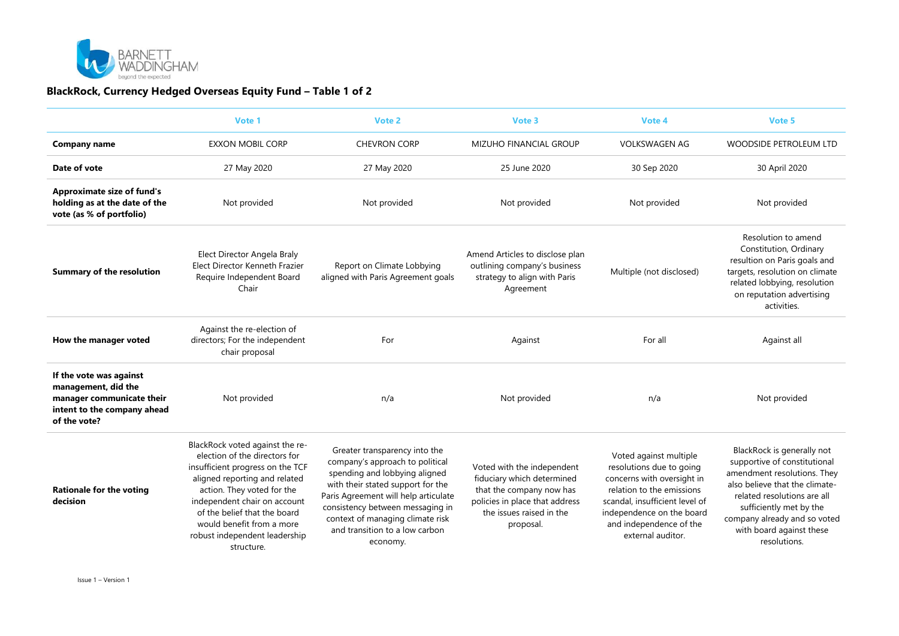

## BlackRock, Currency Hedged Overseas Equity Fund – Table 1 of 2

|                                                                                                                            | Vote 1                                                                                                                                                                                                                                                                                                          | Vote 2                                                                                                                                                                                                                                                                                               | Vote 3                                                                                                                                                          | Vote 4                                                                                                                                                                                                                       | Vote 5                                                                                                                                                                                                                                                            |
|----------------------------------------------------------------------------------------------------------------------------|-----------------------------------------------------------------------------------------------------------------------------------------------------------------------------------------------------------------------------------------------------------------------------------------------------------------|------------------------------------------------------------------------------------------------------------------------------------------------------------------------------------------------------------------------------------------------------------------------------------------------------|-----------------------------------------------------------------------------------------------------------------------------------------------------------------|------------------------------------------------------------------------------------------------------------------------------------------------------------------------------------------------------------------------------|-------------------------------------------------------------------------------------------------------------------------------------------------------------------------------------------------------------------------------------------------------------------|
| Company name                                                                                                               | <b>EXXON MOBIL CORP</b>                                                                                                                                                                                                                                                                                         | <b>CHEVRON CORP</b>                                                                                                                                                                                                                                                                                  | <b>MIZUHO FINANCIAL GROUP</b>                                                                                                                                   | <b>VOLKSWAGEN AG</b>                                                                                                                                                                                                         | WOODSIDE PETROLEUM LTD                                                                                                                                                                                                                                            |
| Date of vote                                                                                                               | 27 May 2020                                                                                                                                                                                                                                                                                                     | 27 May 2020                                                                                                                                                                                                                                                                                          | 25 June 2020                                                                                                                                                    | 30 Sep 2020                                                                                                                                                                                                                  | 30 April 2020                                                                                                                                                                                                                                                     |
| <b>Approximate size of fund's</b><br>holding as at the date of the<br>vote (as % of portfolio)                             | Not provided                                                                                                                                                                                                                                                                                                    | Not provided                                                                                                                                                                                                                                                                                         | Not provided                                                                                                                                                    | Not provided                                                                                                                                                                                                                 | Not provided                                                                                                                                                                                                                                                      |
| <b>Summary of the resolution</b>                                                                                           | Elect Director Angela Braly<br>Elect Director Kenneth Frazier<br>Require Independent Board<br>Chair                                                                                                                                                                                                             | Report on Climate Lobbying<br>aligned with Paris Agreement goals                                                                                                                                                                                                                                     | Amend Articles to disclose plan<br>outlining company's business<br>strategy to align with Paris<br>Agreement                                                    | Multiple (not disclosed)                                                                                                                                                                                                     | Resolution to amend<br>Constitution, Ordinary<br>resultion on Paris goals and<br>targets, resolution on climate<br>related lobbying, resolution<br>on reputation advertising<br>activities.                                                                       |
| How the manager voted                                                                                                      | Against the re-election of<br>directors; For the independent<br>chair proposal                                                                                                                                                                                                                                  | For                                                                                                                                                                                                                                                                                                  | Against                                                                                                                                                         | For all                                                                                                                                                                                                                      | Against all                                                                                                                                                                                                                                                       |
| If the vote was against<br>management, did the<br>manager communicate their<br>intent to the company ahead<br>of the vote? | Not provided                                                                                                                                                                                                                                                                                                    | n/a                                                                                                                                                                                                                                                                                                  | Not provided                                                                                                                                                    | n/a                                                                                                                                                                                                                          | Not provided                                                                                                                                                                                                                                                      |
| <b>Rationale for the voting</b><br>decision                                                                                | BlackRock voted against the re-<br>election of the directors for<br>insufficient progress on the TCF<br>aligned reporting and related<br>action. They voted for the<br>independent chair on account<br>of the belief that the board<br>would benefit from a more<br>robust independent leadership<br>structure. | Greater transparency into the<br>company's approach to political<br>spending and lobbying aligned<br>with their stated support for the<br>Paris Agreement will help articulate<br>consistency between messaging in<br>context of managing climate risk<br>and transition to a low carbon<br>economy. | Voted with the independent<br>fiduciary which determined<br>that the company now has<br>policies in place that address<br>the issues raised in the<br>proposal. | Voted against multiple<br>resolutions due to going<br>concerns with oversight in<br>relation to the emissions<br>scandal, insufficient level of<br>independence on the board<br>and independence of the<br>external auditor. | BlackRock is generally not<br>supportive of constitutional<br>amendment resolutions. They<br>also believe that the climate-<br>related resolutions are all<br>sufficiently met by the<br>company already and so voted<br>with board against these<br>resolutions. |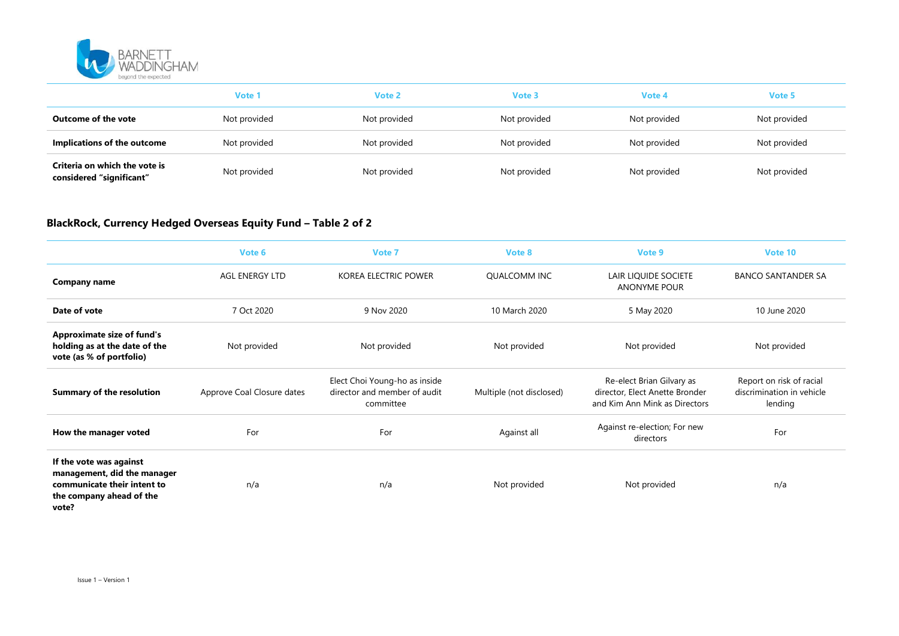

|                                                           | Vote <sup>'</sup> | Vote 2       | Vote 3       | Vote 4       | Vote 5       |  |
|-----------------------------------------------------------|-------------------|--------------|--------------|--------------|--------------|--|
| Outcome of the vote                                       | Not provided      | Not provided | Not provided | Not provided | Not provided |  |
| Implications of the outcome                               | Not provided      | Not provided | Not provided | Not provided | Not provided |  |
| Criteria on which the vote is<br>considered "significant" | Not provided      | Not provided | Not provided | Not provided | Not provided |  |

## BlackRock, Currency Hedged Overseas Equity Fund – Table 2 of 2

|                                                                                                                            | Vote 6                     | Vote 7                                                                     | Vote 8                   | Vote 9                                                                                       | Vote 10                                                          |
|----------------------------------------------------------------------------------------------------------------------------|----------------------------|----------------------------------------------------------------------------|--------------------------|----------------------------------------------------------------------------------------------|------------------------------------------------------------------|
| <b>Company name</b>                                                                                                        | <b>AGL ENERGY LTD</b>      | <b>KOREA ELECTRIC POWER</b>                                                | <b>OUALCOMM INC</b>      | LAIR LIQUIDE SOCIETE<br><b>ANONYME POUR</b>                                                  | <b>BANCO SANTANDER SA</b>                                        |
| Date of vote                                                                                                               | 7 Oct 2020                 | 9 Nov 2020                                                                 | 10 March 2020            | 5 May 2020                                                                                   | 10 June 2020                                                     |
| <b>Approximate size of fund's</b><br>holding as at the date of the<br>vote (as % of portfolio)                             | Not provided               | Not provided                                                               | Not provided             | Not provided                                                                                 | Not provided                                                     |
| <b>Summary of the resolution</b>                                                                                           | Approve Coal Closure dates | Elect Choi Young-ho as inside<br>director and member of audit<br>committee | Multiple (not disclosed) | Re-elect Brian Gilvary as<br>director, Elect Anette Bronder<br>and Kim Ann Mink as Directors | Report on risk of racial<br>discrimination in vehicle<br>lending |
| How the manager voted                                                                                                      | For                        | For                                                                        | Against all              | Against re-election; For new<br>directors                                                    | For                                                              |
| If the vote was against<br>management, did the manager<br>communicate their intent to<br>the company ahead of the<br>vote? | n/a                        | n/a                                                                        | Not provided             | Not provided                                                                                 | n/a                                                              |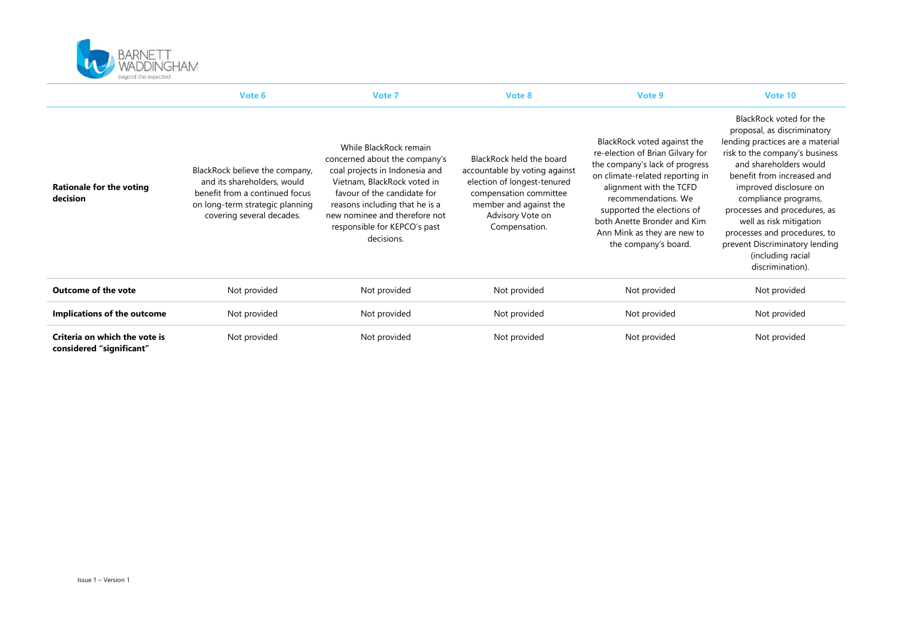

|                                                           | Vote 6                                                                                                                                                          | Vote 7                                                                                                                                                                                                                                                                   | Vote 8                                                                                                                                                                            | Vote 9                                                                                                                                                                                                                                                                                                     | Vote 10                                                                                                                                                                                                                                                                                                                                                                                                      |
|-----------------------------------------------------------|-----------------------------------------------------------------------------------------------------------------------------------------------------------------|--------------------------------------------------------------------------------------------------------------------------------------------------------------------------------------------------------------------------------------------------------------------------|-----------------------------------------------------------------------------------------------------------------------------------------------------------------------------------|------------------------------------------------------------------------------------------------------------------------------------------------------------------------------------------------------------------------------------------------------------------------------------------------------------|--------------------------------------------------------------------------------------------------------------------------------------------------------------------------------------------------------------------------------------------------------------------------------------------------------------------------------------------------------------------------------------------------------------|
| <b>Rationale for the voting</b><br>decision               | BlackRock believe the company,<br>and its shareholders, would<br>benefit from a continued focus<br>on long-term strategic planning<br>covering several decades. | While BlackRock remain<br>concerned about the company's<br>coal projects in Indonesia and<br>Vietnam, BlackRock voted in<br>favour of the candidate for<br>reasons including that he is a<br>new nominee and therefore not<br>responsible for KEPCO's past<br>decisions. | BlackRock held the board<br>accountable by voting against<br>election of longest-tenured<br>compensation committee<br>member and against the<br>Advisory Vote on<br>Compensation. | BlackRock voted against the<br>re-election of Brian Gilvary for<br>the company's lack of progress<br>on climate-related reporting in<br>alignment with the TCFD<br>recommendations. We<br>supported the elections of<br>both Anette Bronder and Kim<br>Ann Mink as they are new to<br>the company's board. | BlackRock voted for the<br>proposal, as discriminatory<br>lending practices are a material<br>risk to the company's business<br>and shareholders would<br>benefit from increased and<br>improved disclosure on<br>compliance programs,<br>processes and procedures, as<br>well as risk mitigation<br>processes and procedures, to<br>prevent Discriminatory lending<br>(including racial<br>discrimination). |
| Outcome of the vote                                       | Not provided                                                                                                                                                    | Not provided                                                                                                                                                                                                                                                             | Not provided                                                                                                                                                                      | Not provided                                                                                                                                                                                                                                                                                               | Not provided                                                                                                                                                                                                                                                                                                                                                                                                 |
| Implications of the outcome                               | Not provided                                                                                                                                                    | Not provided                                                                                                                                                                                                                                                             | Not provided                                                                                                                                                                      | Not provided                                                                                                                                                                                                                                                                                               | Not provided                                                                                                                                                                                                                                                                                                                                                                                                 |
| Criteria on which the vote is<br>considered "significant" | Not provided                                                                                                                                                    | Not provided                                                                                                                                                                                                                                                             | Not provided                                                                                                                                                                      | Not provided                                                                                                                                                                                                                                                                                               | Not provided                                                                                                                                                                                                                                                                                                                                                                                                 |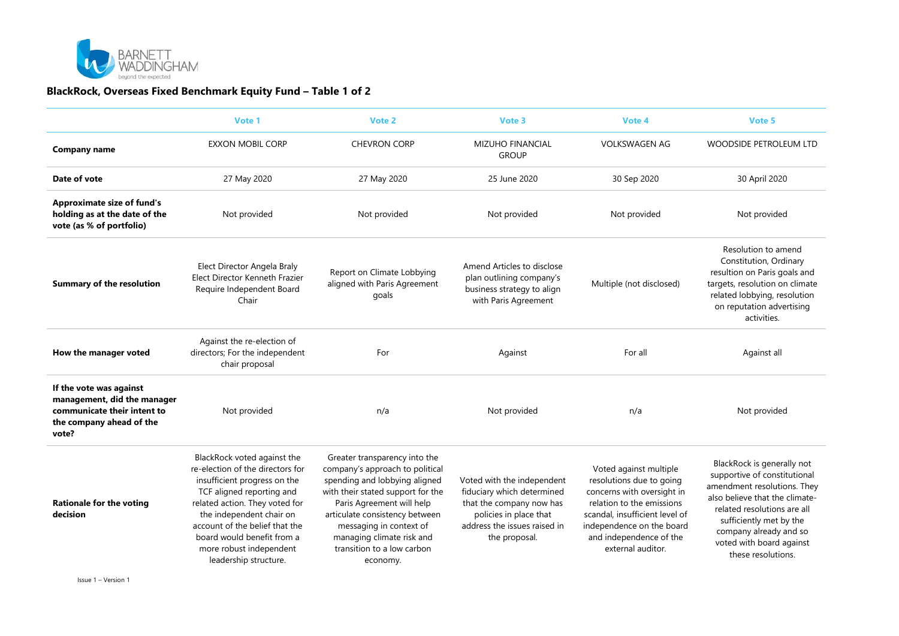

#### BlackRock, Overseas Fixed Benchmark Equity Fund – Table 1 of 2

|                                                                                                                            | Vote 1                                                                                                                                                                                                                                                                                                         | Vote 2                                                                                                                                                                                                                                                                                                  | Vote 3                                                                                                                                                          | Vote 4                                                                                                                                                                                                                       | Vote 5                                                                                                                                                                                                                                                            |
|----------------------------------------------------------------------------------------------------------------------------|----------------------------------------------------------------------------------------------------------------------------------------------------------------------------------------------------------------------------------------------------------------------------------------------------------------|---------------------------------------------------------------------------------------------------------------------------------------------------------------------------------------------------------------------------------------------------------------------------------------------------------|-----------------------------------------------------------------------------------------------------------------------------------------------------------------|------------------------------------------------------------------------------------------------------------------------------------------------------------------------------------------------------------------------------|-------------------------------------------------------------------------------------------------------------------------------------------------------------------------------------------------------------------------------------------------------------------|
| Company name                                                                                                               | <b>EXXON MOBIL CORP</b>                                                                                                                                                                                                                                                                                        | <b>CHEVRON CORP</b>                                                                                                                                                                                                                                                                                     | MIZUHO FINANCIAL<br><b>GROUP</b>                                                                                                                                | <b>VOLKSWAGEN AG</b>                                                                                                                                                                                                         | WOODSIDE PETROLEUM LTD                                                                                                                                                                                                                                            |
| Date of vote                                                                                                               | 27 May 2020                                                                                                                                                                                                                                                                                                    | 27 May 2020                                                                                                                                                                                                                                                                                             | 25 June 2020                                                                                                                                                    | 30 Sep 2020                                                                                                                                                                                                                  | 30 April 2020                                                                                                                                                                                                                                                     |
| <b>Approximate size of fund's</b><br>holding as at the date of the<br>vote (as % of portfolio)                             | Not provided                                                                                                                                                                                                                                                                                                   | Not provided                                                                                                                                                                                                                                                                                            | Not provided                                                                                                                                                    | Not provided                                                                                                                                                                                                                 | Not provided                                                                                                                                                                                                                                                      |
| <b>Summary of the resolution</b>                                                                                           | Elect Director Angela Braly<br><b>Elect Director Kenneth Frazier</b><br>Require Independent Board<br>Chair                                                                                                                                                                                                     | Report on Climate Lobbying<br>aligned with Paris Agreement<br>goals                                                                                                                                                                                                                                     | Amend Articles to disclose<br>plan outlining company's<br>business strategy to align<br>with Paris Agreement                                                    | Multiple (not disclosed)                                                                                                                                                                                                     | Resolution to amend<br>Constitution, Ordinary<br>resultion on Paris goals and<br>targets, resolution on climate<br>related lobbying, resolution<br>on reputation advertising<br>activities.                                                                       |
| How the manager voted                                                                                                      | Against the re-election of<br>directors; For the independent<br>chair proposal                                                                                                                                                                                                                                 | For                                                                                                                                                                                                                                                                                                     | Against                                                                                                                                                         | For all                                                                                                                                                                                                                      | Against all                                                                                                                                                                                                                                                       |
| If the vote was against<br>management, did the manager<br>communicate their intent to<br>the company ahead of the<br>vote? | Not provided                                                                                                                                                                                                                                                                                                   | n/a                                                                                                                                                                                                                                                                                                     | Not provided                                                                                                                                                    | n/a                                                                                                                                                                                                                          | Not provided                                                                                                                                                                                                                                                      |
| <b>Rationale for the voting</b><br>decision                                                                                | BlackRock voted against the<br>re-election of the directors for<br>insufficient progress on the<br>TCF aligned reporting and<br>related action. They voted for<br>the independent chair on<br>account of the belief that the<br>board would benefit from a<br>more robust independent<br>leadership structure. | Greater transparency into the<br>company's approach to political<br>spending and lobbying aligned<br>with their stated support for the<br>Paris Agreement will help<br>articulate consistency between<br>messaging in context of<br>managing climate risk and<br>transition to a low carbon<br>economy. | Voted with the independent<br>fiduciary which determined<br>that the company now has<br>policies in place that<br>address the issues raised in<br>the proposal. | Voted against multiple<br>resolutions due to going<br>concerns with oversight in<br>relation to the emissions<br>scandal, insufficient level of<br>independence on the board<br>and independence of the<br>external auditor. | BlackRock is generally not<br>supportive of constitutional<br>amendment resolutions. They<br>also believe that the climate-<br>related resolutions are all<br>sufficiently met by the<br>company already and so<br>voted with board against<br>these resolutions. |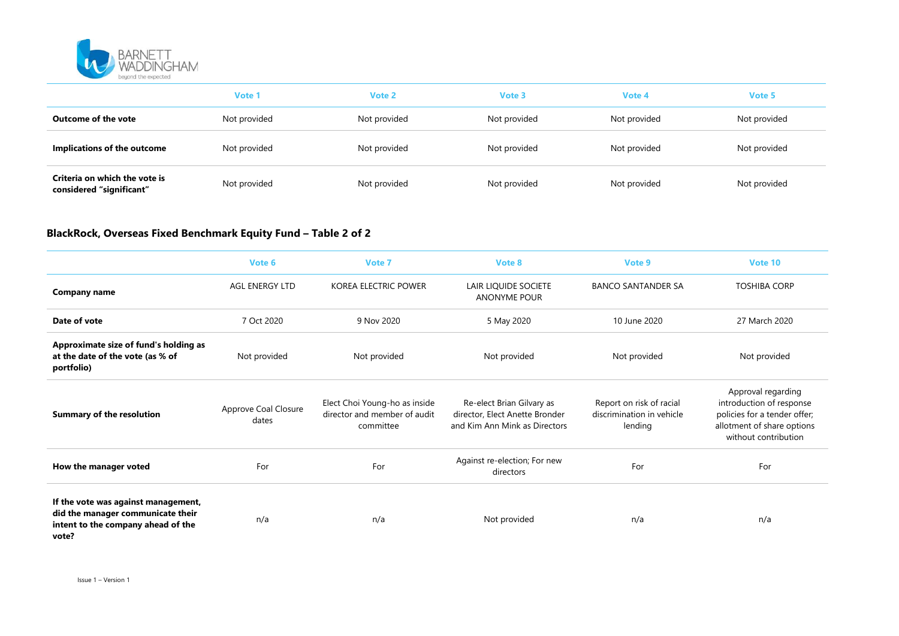

|                                                           | Vote 1       | Vote 2       | Vote 3       | Vote 4       | Vote 5       |
|-----------------------------------------------------------|--------------|--------------|--------------|--------------|--------------|
| Outcome of the vote                                       | Not provided | Not provided | Not provided | Not provided | Not provided |
| Implications of the outcome                               | Not provided | Not provided | Not provided | Not provided | Not provided |
| Criteria on which the vote is<br>considered "significant" | Not provided | Not provided | Not provided | Not provided | Not provided |

## BlackRock, Overseas Fixed Benchmark Equity Fund – Table 2 of 2

|                                                                                                                         | Vote 6                        | Vote 7                                                                     | Vote 8                                                                                       | Vote 9                                                           | Vote 10                                                                                                                              |
|-------------------------------------------------------------------------------------------------------------------------|-------------------------------|----------------------------------------------------------------------------|----------------------------------------------------------------------------------------------|------------------------------------------------------------------|--------------------------------------------------------------------------------------------------------------------------------------|
| <b>Company name</b>                                                                                                     | <b>AGL ENERGY LTD</b>         | KOREA ELECTRIC POWER                                                       | LAIR LIQUIDE SOCIETE<br><b>ANONYME POUR</b>                                                  | <b>BANCO SANTANDER SA</b>                                        | <b>TOSHIBA CORP</b>                                                                                                                  |
| Date of vote                                                                                                            | 7 Oct 2020                    | 9 Nov 2020                                                                 | 5 May 2020                                                                                   | 10 June 2020                                                     | 27 March 2020                                                                                                                        |
| Approximate size of fund's holding as<br>at the date of the vote (as % of<br>portfolio)                                 | Not provided                  | Not provided                                                               | Not provided                                                                                 | Not provided                                                     | Not provided                                                                                                                         |
| <b>Summary of the resolution</b>                                                                                        | Approve Coal Closure<br>dates | Elect Choi Young-ho as inside<br>director and member of audit<br>committee | Re-elect Brian Gilvary as<br>director, Elect Anette Bronder<br>and Kim Ann Mink as Directors | Report on risk of racial<br>discrimination in vehicle<br>lending | Approval regarding<br>introduction of response<br>policies for a tender offer;<br>allotment of share options<br>without contribution |
| How the manager voted                                                                                                   | For                           | For                                                                        | Against re-election; For new<br>directors                                                    | For                                                              | For                                                                                                                                  |
| If the vote was against management,<br>did the manager communicate their<br>intent to the company ahead of the<br>vote? | n/a                           | n/a                                                                        | Not provided                                                                                 | n/a                                                              | n/a                                                                                                                                  |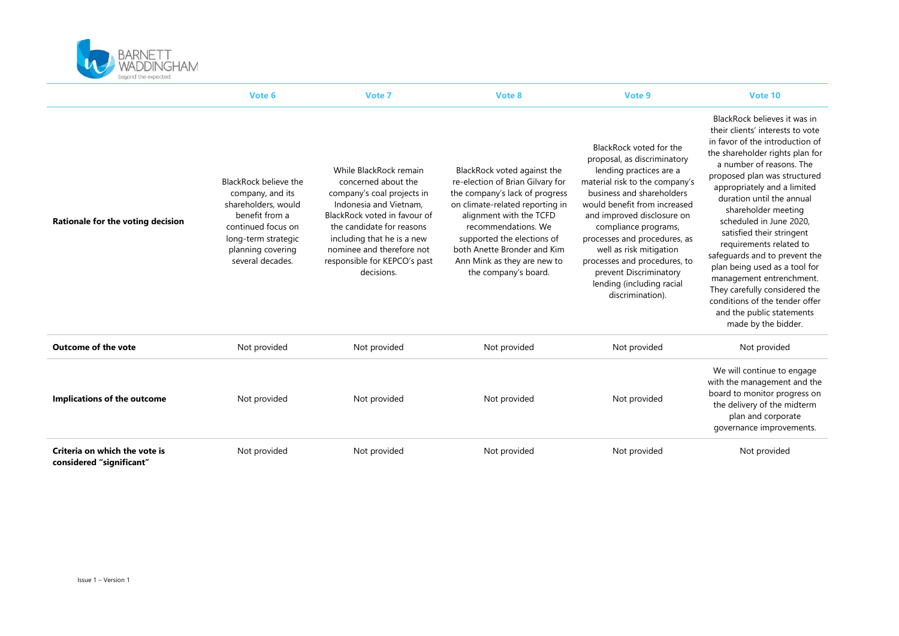

|                                                           | Vote 6                                                                                                                                                                   | Vote 7                                                                                                                                                                                                                                                                      | Vote 8                                                                                                                                                                                                                                                                                                     | Vote 9                                                                                                                                                                                                                                                                                                                                                                                                       | Vote 10                                                                                                                                                                                                                                                                                                                                                                                                                                                                                                                                                                                       |
|-----------------------------------------------------------|--------------------------------------------------------------------------------------------------------------------------------------------------------------------------|-----------------------------------------------------------------------------------------------------------------------------------------------------------------------------------------------------------------------------------------------------------------------------|------------------------------------------------------------------------------------------------------------------------------------------------------------------------------------------------------------------------------------------------------------------------------------------------------------|--------------------------------------------------------------------------------------------------------------------------------------------------------------------------------------------------------------------------------------------------------------------------------------------------------------------------------------------------------------------------------------------------------------|-----------------------------------------------------------------------------------------------------------------------------------------------------------------------------------------------------------------------------------------------------------------------------------------------------------------------------------------------------------------------------------------------------------------------------------------------------------------------------------------------------------------------------------------------------------------------------------------------|
| Rationale for the voting decision                         | BlackRock believe the<br>company, and its<br>shareholders, would<br>benefit from a<br>continued focus on<br>long-term strategic<br>planning covering<br>several decades. | While BlackRock remain<br>concerned about the<br>company's coal projects in<br>Indonesia and Vietnam,<br>BlackRock voted in favour of<br>the candidate for reasons<br>including that he is a new<br>nominee and therefore not<br>responsible for KEPCO's past<br>decisions. | BlackRock voted against the<br>re-election of Brian Gilvary for<br>the company's lack of progress<br>on climate-related reporting in<br>alignment with the TCFD<br>recommendations. We<br>supported the elections of<br>both Anette Bronder and Kim<br>Ann Mink as they are new to<br>the company's board. | BlackRock voted for the<br>proposal, as discriminatory<br>lending practices are a<br>material risk to the company's<br>business and shareholders<br>would benefit from increased<br>and improved disclosure on<br>compliance programs,<br>processes and procedures, as<br>well as risk mitigation<br>processes and procedures, to<br>prevent Discriminatory<br>lending (including racial<br>discrimination). | BlackRock believes it was in<br>their clients' interests to vote<br>in favor of the introduction of<br>the shareholder rights plan for<br>a number of reasons. The<br>proposed plan was structured<br>appropriately and a limited<br>duration until the annual<br>shareholder meeting<br>scheduled in June 2020.<br>satisfied their stringent<br>requirements related to<br>safequards and to prevent the<br>plan being used as a tool for<br>management entrenchment.<br>They carefully considered the<br>conditions of the tender offer<br>and the public statements<br>made by the bidder. |
| <b>Outcome of the vote</b>                                | Not provided                                                                                                                                                             | Not provided                                                                                                                                                                                                                                                                | Not provided                                                                                                                                                                                                                                                                                               | Not provided                                                                                                                                                                                                                                                                                                                                                                                                 | Not provided                                                                                                                                                                                                                                                                                                                                                                                                                                                                                                                                                                                  |
| Implications of the outcome                               | Not provided                                                                                                                                                             | Not provided                                                                                                                                                                                                                                                                | Not provided                                                                                                                                                                                                                                                                                               | Not provided                                                                                                                                                                                                                                                                                                                                                                                                 | We will continue to engage<br>with the management and the<br>board to monitor progress on<br>the delivery of the midterm<br>plan and corporate<br>governance improvements.                                                                                                                                                                                                                                                                                                                                                                                                                    |
| Criteria on which the vote is<br>considered "significant" | Not provided                                                                                                                                                             | Not provided                                                                                                                                                                                                                                                                | Not provided                                                                                                                                                                                                                                                                                               | Not provided                                                                                                                                                                                                                                                                                                                                                                                                 | Not provided                                                                                                                                                                                                                                                                                                                                                                                                                                                                                                                                                                                  |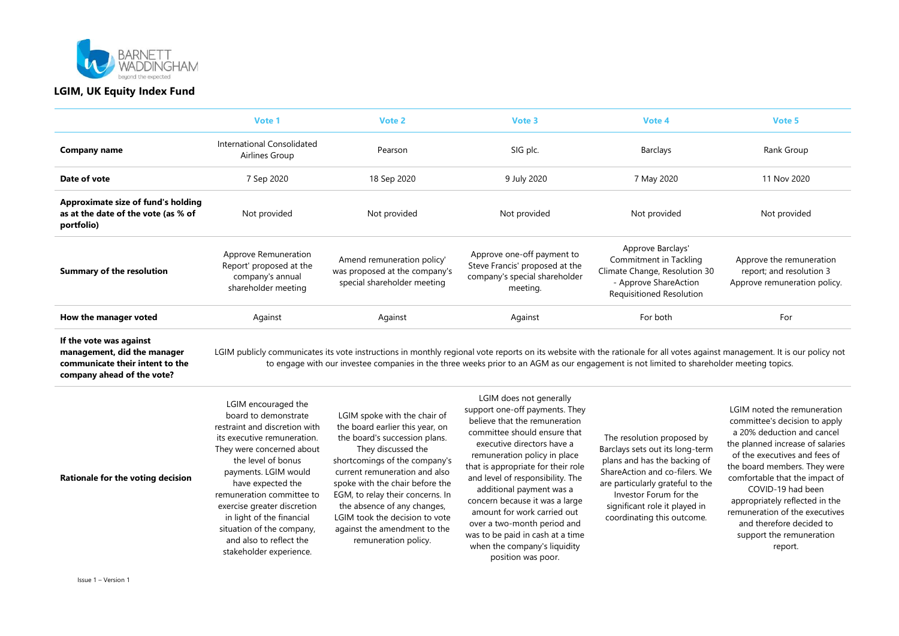

|                                                                                         | Vote 1                                                                                     | Vote 2                                                                                                                                                                   | Vote 3                                                                                                    | Vote 4                                                                                                                                   | Vote 5                                                                               |
|-----------------------------------------------------------------------------------------|--------------------------------------------------------------------------------------------|--------------------------------------------------------------------------------------------------------------------------------------------------------------------------|-----------------------------------------------------------------------------------------------------------|------------------------------------------------------------------------------------------------------------------------------------------|--------------------------------------------------------------------------------------|
| Company name                                                                            | International Consolidated<br>Airlines Group                                               | Pearson                                                                                                                                                                  | SIG plc.                                                                                                  | Barclays                                                                                                                                 | Rank Group                                                                           |
| Date of vote                                                                            | 7 Sep 2020                                                                                 | 18 Sep 2020                                                                                                                                                              | 9 July 2020                                                                                               | 7 May 2020                                                                                                                               | 11 Nov 2020                                                                          |
| Approximate size of fund's holding<br>as at the date of the vote (as % of<br>portfolio) | Not provided                                                                               | Not provided                                                                                                                                                             | Not provided                                                                                              | Not provided                                                                                                                             | Not provided                                                                         |
| Summary of the resolution                                                               | Approve Remuneration<br>Report' proposed at the<br>company's annual<br>shareholder meeting | Amend remuneration policy'<br>was proposed at the company's<br>special shareholder meeting                                                                               | Approve one-off payment to<br>Steve Francis' proposed at the<br>company's special shareholder<br>meeting. | Approve Barclays'<br>Commitment in Tackling<br>Climate Change, Resolution 30<br>- Approve ShareAction<br><b>Requisitioned Resolution</b> | Approve the remuneration<br>report; and resolution 3<br>Approve remuneration policy. |
| How the manager voted                                                                   | Against                                                                                    | Against                                                                                                                                                                  | Against                                                                                                   | For both                                                                                                                                 | For                                                                                  |
| If the vote was against<br>management did the manager                                   |                                                                                            | GM publicly communicates its vote instructions in monthly regional vote reports on its website with the rationale for all votes against management. It is our policy not |                                                                                                           |                                                                                                                                          |                                                                                      |

management, did the manager communicate their intent to the company ahead of the vote?

LGIM publicly communicates its vote instructions in monthly regional vote reports on its website with the rationale for all votes against management. It is our policy not to engage with our investee companies in the three weeks prior to an AGM as our engagement is not limited to shareholder meeting topics.

| LGIM encouraged the<br>LGIM spoke with the chair of<br>board to demonstrate<br>the board earlier this year, on<br>restraint and discretion with<br>the board's succession plans.<br>its executive remuneration.<br>They discussed the<br>They were concerned about<br>shortcomings of the company's<br>the level of bonus<br>current remuneration and also<br>payments. LGIM would<br>Rationale for the voting decision<br>spoke with the chair before the<br>have expected the<br>EGM, to relay their concerns. In<br>remuneration committee to<br>the absence of any changes,<br>exercise greater discretion<br>LGIM took the decision to vote<br>in light of the financial<br>situation of the company,<br>against the amendment to the<br>and also to reflect the<br>remuneration policy.<br>stakeholder experience. | LGIM does not generally<br>support one-off payments. They<br>believe that the remuneration<br>committee should ensure that<br>executive directors have a<br>remuneration policy in place<br>that is appropriate for their role<br>and level of responsibility. The<br>additional payment was a<br>concern because it was a large<br>amount for work carried out<br>over a two-month period and<br>was to be paid in cash at a time<br>when the company's liquidity<br>position was poor. | The resolution proposed by<br>Barclays sets out its long-term<br>plans and has the backing of<br>ShareAction and co-filers. We<br>are particularly grateful to the<br>Investor Forum for the<br>significant role it played in<br>coordinating this outcome. | LGIM noted the remuneration<br>committee's decision to apply<br>a 20% deduction and cancel<br>the planned increase of salaries<br>of the executives and fees of<br>the board members. They were<br>comfortable that the impact of<br>COVID-19 had been<br>appropriately reflected in the<br>remuneration of the executives<br>and therefore decided to<br>support the remuneration<br>report. |
|--------------------------------------------------------------------------------------------------------------------------------------------------------------------------------------------------------------------------------------------------------------------------------------------------------------------------------------------------------------------------------------------------------------------------------------------------------------------------------------------------------------------------------------------------------------------------------------------------------------------------------------------------------------------------------------------------------------------------------------------------------------------------------------------------------------------------|------------------------------------------------------------------------------------------------------------------------------------------------------------------------------------------------------------------------------------------------------------------------------------------------------------------------------------------------------------------------------------------------------------------------------------------------------------------------------------------|-------------------------------------------------------------------------------------------------------------------------------------------------------------------------------------------------------------------------------------------------------------|-----------------------------------------------------------------------------------------------------------------------------------------------------------------------------------------------------------------------------------------------------------------------------------------------------------------------------------------------------------------------------------------------|
|--------------------------------------------------------------------------------------------------------------------------------------------------------------------------------------------------------------------------------------------------------------------------------------------------------------------------------------------------------------------------------------------------------------------------------------------------------------------------------------------------------------------------------------------------------------------------------------------------------------------------------------------------------------------------------------------------------------------------------------------------------------------------------------------------------------------------|------------------------------------------------------------------------------------------------------------------------------------------------------------------------------------------------------------------------------------------------------------------------------------------------------------------------------------------------------------------------------------------------------------------------------------------------------------------------------------------|-------------------------------------------------------------------------------------------------------------------------------------------------------------------------------------------------------------------------------------------------------------|-----------------------------------------------------------------------------------------------------------------------------------------------------------------------------------------------------------------------------------------------------------------------------------------------------------------------------------------------------------------------------------------------|